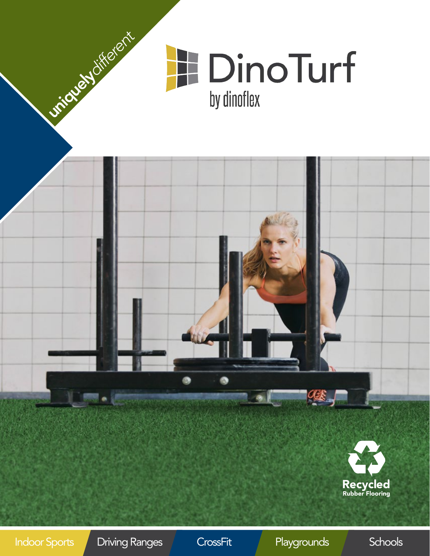

**Playgrounds**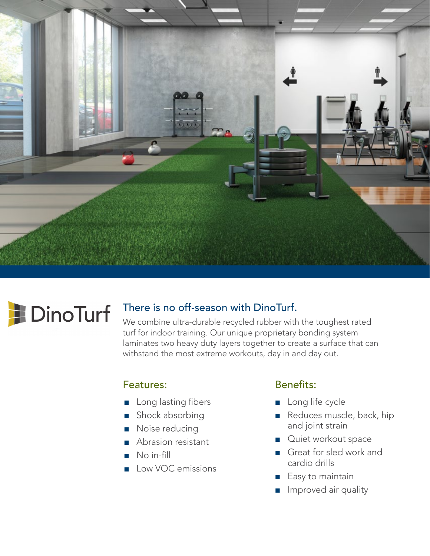

# **DinoTurf**

#### There is no off-season with DinoTurf.

We combine ultra-durable recycled rubber with the toughest rated turf for indoor training. Our unique proprietary bonding system laminates two heavy duty layers together to create a surface that can withstand the most extreme workouts, day in and day out.

#### Features:

- Long lasting fibers
- Shock absorbing
- Noise reducing
- Abrasion resistant
- No in-fill
- Low VOC emissions

#### Benefits:

- Long life cycle
- Reduces muscle, back, hip and joint strain
- Quiet workout space
- Great for sled work and cardio drills
- Easy to maintain
- Improved air quality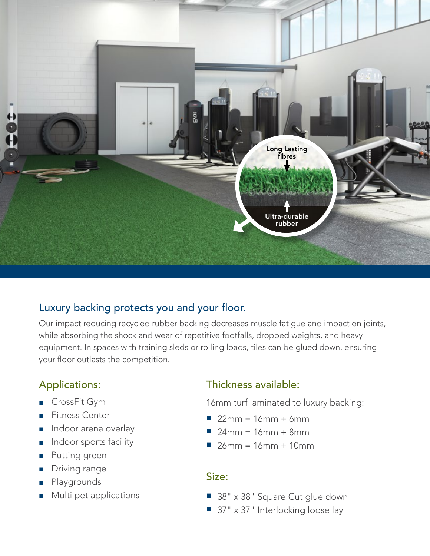

#### Luxury backing protects you and your floor.

Our impact reducing recycled rubber backing decreases muscle fatigue and impact on joints, while absorbing the shock and wear of repetitive footfalls, dropped weights, and heavy equipment. In spaces with training sleds or rolling loads, tiles can be glued down, ensuring your floor outlasts the competition.

### Applications:

- CrossFit Gym
- Fitness Center
- Indoor arena overlay
- Indoor sports facility
- Putting green
- Driving range
- **Playgrounds**
- Multi pet applications

#### Thickness available:

- 16mm turf laminated to luxury backing:
- $\blacksquare$  22mm = 16mm + 6mm
- $\blacksquare$  24mm = 16mm + 8mm
- $\Box$  26mm = 16mm + 10mm

#### Size:

- 38" x 38" Square Cut glue down
- 37" x 37" Interlocking loose lay